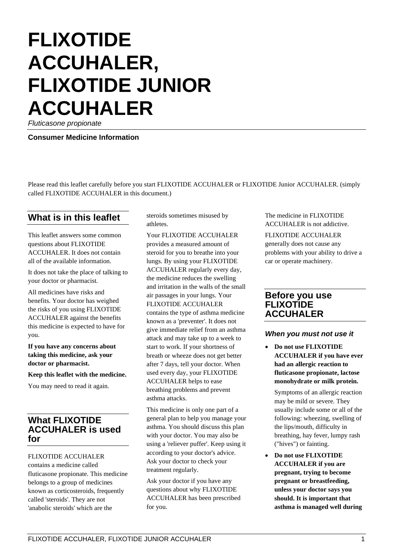# **FLIXOTIDE ACCUHALER, FLIXOTIDE JUNIOR ACCUHALER**

*Fluticasone propionate*

**Consumer Medicine Information**

Please read this leaflet carefully before you start FLIXOTIDE ACCUHALER or FLIXOTIDE Junior ACCUHALER. (simply called FLIXOTIDE ACCUHALER in this document.)

# **What is in this leaflet**

This leaflet answers some common questions about FLIXOTIDE ACCUHALER. It does not contain all of the available information.

It does not take the place of talking to your doctor or pharmacist.

All medicines have risks and benefits. Your doctor has weighed the risks of you using FLIXOTIDE ACCUHALER against the benefits this medicine is expected to have for you.

**If you have any concerns about taking this medicine, ask your doctor or pharmacist.**

**Keep this leaflet with the medicine.**

You may need to read it again.

# **What FLIXOTIDE ACCUHALER is used for**

#### FLIXOTIDE ACCUHALER

contains a medicine called fluticasone propionate. This medicine belongs to a group of medicines known as corticosteroids, frequently called 'steroids'. They are not 'anabolic steroids' which are the

steroids sometimes misused by athletes.

Your FLIXOTIDE ACCUHALER provides a measured amount of steroid for you to breathe into your lungs. By using your FLIXOTIDE ACCUHALER regularly every day, the medicine reduces the swelling and irritation in the walls of the small air passages in your lungs. Your FLIXOTIDE ACCUHALER contains the type of asthma medicine known as a 'preventer'. It does not give immediate relief from an asthma attack and may take up to a week to start to work. If your shortness of breath or wheeze does not get better after 7 days, tell your doctor. When used every day, your FLIXOTIDE ACCUHALER helps to ease breathing problems and prevent asthma attacks.

This medicine is only one part of a general plan to help you manage your asthma. You should discuss this plan with your doctor. You may also be using a 'reliever puffer'. Keep using it according to your doctor's advice. Ask your doctor to check your treatment regularly.

Ask your doctor if you have any questions about why FLIXOTIDE ACCUHALER has been prescribed for you.

The medicine in FLIXOTIDE ACCUHALER is not addictive.

FLIXOTIDE ACCUHALER

generally does not cause any problems with your ability to drive a car or operate machinery.

## **Before you use FLIXOTIDE ACCUHALER**

## *When you must not use it*

• **Do not use FLIXOTIDE ACCUHALER if you have ever had an allergic reaction to fluticasone propionate, lactose monohydrate or milk protein.**

Symptoms of an allergic reaction may be mild or severe. They usually include some or all of the following: wheezing, swelling of the lips/mouth, difficulty in breathing, hay fever, lumpy rash ("hives") or fainting.

• **Do not use FLIXOTIDE ACCUHALER if you are pregnant, trying to become pregnant or breastfeeding, unless your doctor says you should. It is important that asthma is managed well during**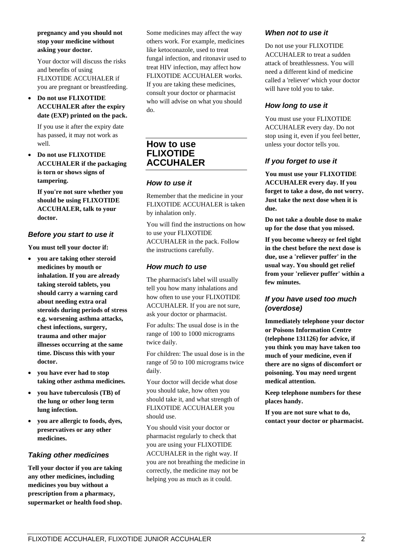#### **pregnancy and you should not stop your medicine without asking your doctor.**

Your doctor will discuss the risks and benefits of using FLIXOTIDE ACCUHALER if you are pregnant or breastfeeding.

#### • **Do not use FLIXOTIDE ACCUHALER after the expiry date (EXP) printed on the pack.**

If you use it after the expiry date has passed, it may not work as well.

• **Do not use FLIXOTIDE ACCUHALER if the packaging is torn or shows signs of tampering.**

**If you're not sure whether you should be using FLIXOTIDE ACCUHALER, talk to your doctor.**

## *Before you start to use it*

**You must tell your doctor if:**

- **you are taking other steroid medicines by mouth or inhalation. If you are already taking steroid tablets, you should carry a warning card about needing extra oral steroids during periods of stress e.g. worsening asthma attacks, chest infections, surgery, trauma and other major illnesses occurring at the same time. Discuss this with your doctor.**
- **you have ever had to stop taking other asthma medicines.**
- **you have tuberculosis (TB) of the lung or other long term lung infection.**
- **you are allergic to foods, dyes, preservatives or any other medicines.**

## *Taking other medicines*

**Tell your doctor if you are taking any other medicines, including medicines you buy without a prescription from a pharmacy, supermarket or health food shop.**

Some medicines may affect the way others work. For example, medicines like ketoconazole, used to treat fungal infection, and ritonavir used to treat HIV infection, may affect how FLIXOTIDE ACCUHALER works. If you are taking these medicines, consult your doctor or pharmacist who will advise on what you should do.

# **How to use FLIXOTIDE ACCUHALER**

#### *How to use it*

Remember that the medicine in your FLIXOTIDE ACCUHALER is taken by inhalation only.

You will find the instructions on how to use your FLIXOTIDE ACCUHALER in the pack. Follow the instructions carefully.

## *How much to use*

The pharmacist's label will usually tell you how many inhalations and how often to use your FLIXOTIDE ACCUHALER. If you are not sure, ask your doctor or pharmacist.

For adults: The usual dose is in the range of 100 to 1000 micrograms twice daily.

For children: The usual dose is in the range of 50 to 100 micrograms twice daily.

Your doctor will decide what dose you should take, how often you should take it, and what strength of FLIXOTIDE ACCUHALER you should use.

You should visit your doctor or pharmacist regularly to check that you are using your FLIXOTIDE ACCUHALER in the right way. If you are not breathing the medicine in correctly, the medicine may not be helping you as much as it could.

## *When not to use it*

Do not use your FLIXOTIDE ACCUHALER to treat a sudden attack of breathlessness. You will need a different kind of medicine called a 'reliever' which your doctor will have told you to take.

## *How long to use it*

You must use your FLIXOTIDE ACCUHALER every day. Do not stop using it, even if you feel better, unless your doctor tells you.

## *If you forget to use it*

**You must use your FLIXOTIDE ACCUHALER every day. If you forget to take a dose, do not worry. Just take the next dose when it is due.**

**Do not take a double dose to make up for the dose that you missed.**

**If you become wheezy or feel tight in the chest before the next dose is due, use a 'reliever puffer' in the usual way. You should get relief from your 'reliever puffer' within a few minutes.**

## *If you have used too much (overdose)*

**Immediately telephone your doctor or Poisons Information Centre (telephone 131126) for advice, if you think you may have taken too much of your medicine, even if there are no signs of discomfort or poisoning. You may need urgent medical attention.**

**Keep telephone numbers for these places handy.**

**If you are not sure what to do, contact your doctor or pharmacist.**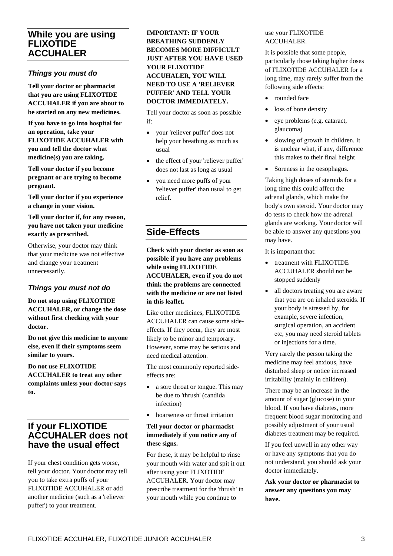# **While you are using FLIXOTIDE ACCUHALER**

## *Things you must do*

**Tell your doctor or pharmacist that you are using FLIXOTIDE ACCUHALER if you are about to be started on any new medicines.**

**If you have to go into hospital for an operation, take your FLIXOTIDE ACCUHALER with you and tell the doctor what medicine(s) you are taking.**

**Tell your doctor if you become pregnant or are trying to become pregnant.**

**Tell your doctor if you experience a change in your vision.**

**Tell your doctor if, for any reason, you have not taken your medicine exactly as prescribed.**

Otherwise, your doctor may think that your medicine was not effective and change your treatment unnecessarily.

## *Things you must not do*

**Do not stop using FLIXOTIDE ACCUHALER, or change the dose without first checking with your doctor.**

**Do not give this medicine to anyone else, even if their symptoms seem similar to yours.**

**Do not use FLIXOTIDE ACCUHALER to treat any other complaints unless your doctor says to.**

# **If your FLIXOTIDE ACCUHALER does not have the usual effect**

If your chest condition gets worse, tell your doctor. Your doctor may tell you to take extra puffs of your FLIXOTIDE ACCUHALER or add another medicine (such as a 'reliever puffer') to your treatment.

## **IMPORTANT: IF YOUR BREATHING SUDDENLY BECOMES MORE DIFFICULT JUST AFTER YOU HAVE USED YOUR FLIXOTIDE ACCUHALER, YOU WILL NEED TO USE A 'RELIEVER PUFFER' AND TELL YOUR DOCTOR IMMEDIATELY.**

Tell your doctor as soon as possible if:

- your 'reliever puffer' does not help your breathing as much as usual
- the effect of your 'reliever puffer' does not last as long as usual
- you need more puffs of your 'reliever puffer' than usual to get relief.

# **Side-Effects**

**Check with your doctor as soon as possible if you have any problems while using FLIXOTIDE ACCUHALER, even if you do not think the problems are connected with the medicine or are not listed in this leaflet.**

Like other medicines, FLIXOTIDE ACCUHALER can cause some sideeffects. If they occur, they are most likely to be minor and temporary. However, some may be serious and need medical attention.

The most commonly reported sideeffects are:

- a sore throat or tongue. This may be due to 'thrush' (candida infection)
- hoarseness or throat irritation

#### **Tell your doctor or pharmacist immediately if you notice any of these signs.**

For these, it may be helpful to rinse your mouth with water and spit it out after using your FLIXOTIDE ACCUHALER. Your doctor may prescribe treatment for the 'thrush' in your mouth while you continue to

## use your FLIXOTIDE ACCUHALER.

It is possible that some people, particularly those taking higher doses of FLIXOTIDE ACCUHALER for a long time, may rarely suffer from the following side effects:

- rounded face
- loss of bone density
- eye problems (e.g. cataract, glaucoma)
- slowing of growth in children. It is unclear what, if any, difference this makes to their final height
- Soreness in the oesophagus.

Taking high doses of steroids for a long time this could affect the adrenal glands, which make the body's own steroid. Your doctor may do tests to check how the adrenal glands are working. Your doctor will be able to answer any questions you may have.

It is important that:

- treatment with FLIXOTIDE ACCUHALER should not be stopped suddenly
- all doctors treating you are aware that you are on inhaled steroids. If your body is stressed by, for example, severe infection, surgical operation, an accident etc, you may need steroid tablets or injections for a time.

Very rarely the person taking the medicine may feel anxious, have disturbed sleep or notice increased irritability (mainly in children).

There may be an increase in the amount of sugar (glucose) in your blood. If you have diabetes, more frequent blood sugar monitoring and possibly adjustment of your usual diabetes treatment may be required.

If you feel unwell in any other way or have any symptoms that you do not understand, you should ask your doctor immediately.

**Ask your doctor or pharmacist to answer any questions you may have.**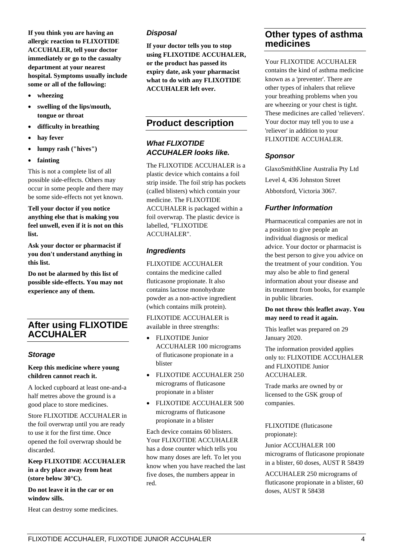**If you think you are having an allergic reaction to FLIXOTIDE ACCUHALER, tell your doctor immediately or go to the casualty department at your nearest hospital. Symptoms usually include some or all of the following:**

- **wheezing**
- **swelling of the lips/mouth, tongue or throat**
- **difficulty in breathing**
- **hay fever**
- **lumpy rash ("hives")**
- **fainting**

This is not a complete list of all possible side-effects. Others may occur in some people and there may be some side-effects not yet known.

**Tell your doctor if you notice anything else that is making you feel unwell, even if it is not on this list.**

**Ask your doctor or pharmacist if you don't understand anything in this list.**

**Do not be alarmed by this list of possible side-effects. You may not experience any of them.**

# **After using FLIXOTIDE ACCUHALER**

#### *Storage*

#### **Keep this medicine where young children cannot reach it.**

A locked cupboard at least one-and-a half metres above the ground is a good place to store medicines.

Store FLIXOTIDE ACCUHALER in the foil overwrap until you are ready to use it for the first time. Once opened the foil overwrap should be discarded.

## **Keep FLIXOTIDE ACCUHALER in a dry place away from heat (store below 30°C).**

**Do not leave it in the car or on window sills.**

Heat can destroy some medicines.

## *Disposal*

**If your doctor tells you to stop using FLIXOTIDE ACCUHALER, or the product has passed its expiry date, ask your pharmacist what to do with any FLIXOTIDE ACCUHALER left over.**

# **Product description**

## *What FLIXOTIDE ACCUHALER looks like.*

The FLIXOTIDE ACCUHALER is a plastic device which contains a foil strip inside. The foil strip has pockets (called blisters) which contain your medicine. The FLIXOTIDE ACCUHALER is packaged within a foil overwrap. The plastic device is labelled, "FLIXOTIDE ACCUHALER".

## *Ingredients*

FLIXOTIDE ACCUHALER contains the medicine called fluticasone propionate. It also contains lactose monohydrate powder as a non-active ingredient (which contains milk protein).

FLIXOTIDE ACCUHALER is available in three strengths:

- FLIXOTIDE Junior ACCUHALER 100 micrograms of fluticasone propionate in a blister
- FLIXOTIDE ACCUHALER 250 micrograms of fluticasone propionate in a blister
- FLIXOTIDE ACCUHALER 500 micrograms of fluticasone propionate in a blister

Each device contains 60 blisters. Your FLIXOTIDE ACCUHALER has a dose counter which tells you how many doses are left. To let you know when you have reached the last five doses, the numbers appear in red.

# **Other types of asthma medicines**

Your FLIXOTIDE ACCUHALER contains the kind of asthma medicine known as a 'preventer'. There are other types of inhalers that relieve your breathing problems when you are wheezing or your chest is tight. These medicines are called 'relievers'. Your doctor may tell you to use a 'reliever' in addition to your FLIXOTIDE ACCUHALER.

## *Sponsor*

GlaxoSmithKline Australia Pty Ltd

Level 4, 436 Johnston Street Abbotsford, Victoria 3067.

## *Further Information*

Pharmaceutical companies are not in a position to give people an individual diagnosis or medical advice. Your doctor or pharmacist is the best person to give you advice on the treatment of your condition. You may also be able to find general information about your disease and its treatment from books, for example in public libraries.

#### **Do not throw this leaflet away. You may need to read it again.**

This leaflet was prepared on 29 January 2020.

The information provided applies only to: FLIXOTIDE ACCUHALER and FLIXOTIDE Junior ACCUHALER.

Trade marks are owned by or licensed to the GSK group of companies.

FLIXOTIDE (fluticasone propionate):

Junior ACCUHALER 100 micrograms of fluticasone propionate in a blister, 60 doses, AUST R 58439

ACCUHALER 250 micrograms of fluticasone propionate in a blister, 60 doses, AUST R 58438